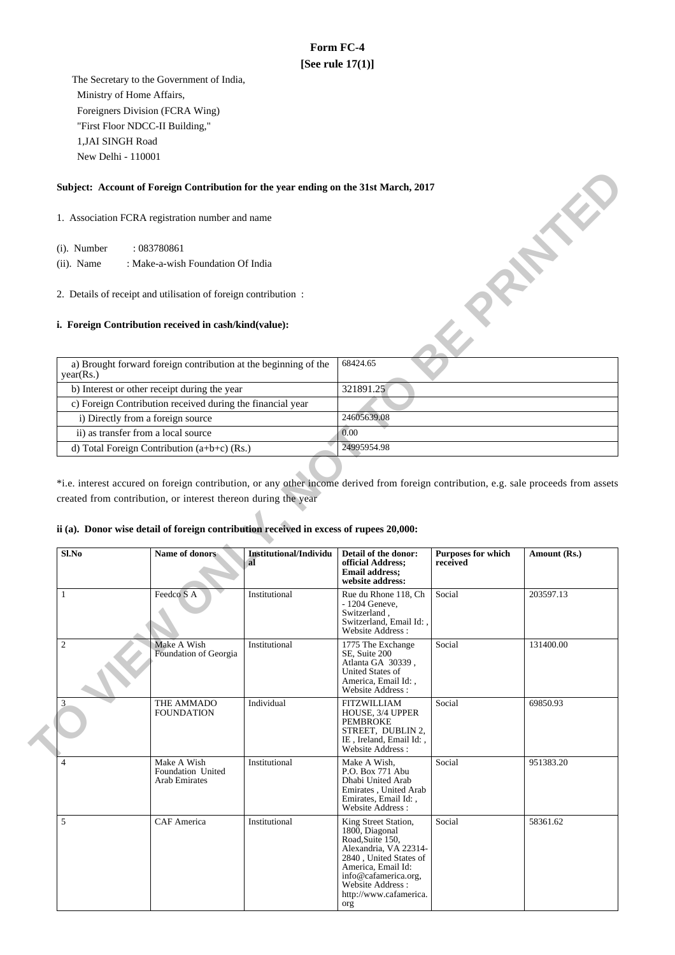# **Form FC-4 [See rule 17(1)]**

 The Secretary to the Government of India, Ministry of Home Affairs, Foreigners Division (FCRA Wing) "First Floor NDCC-II Building," 1,JAI SINGH Road New Delhi - 110001

## **Subject: Account of Foreign Contribution for the year ending on the 31st March, 2017**

## **i. Foreign Contribution received in cash/kind(value):**

| Subject: Account of Foreign Contribution for the year ending on the 31st March, 2017 |             |  |  |
|--------------------------------------------------------------------------------------|-------------|--|--|
| 1. Association FCRA registration number and name                                     |             |  |  |
| (i). Number<br>: 083780861                                                           |             |  |  |
| $(ii)$ . Name<br>: Make-a-wish Foundation Of India                                   |             |  |  |
| 2. Details of receipt and utilisation of foreign contribution:                       |             |  |  |
| i. Foreign Contribution received in cash/kind(value):                                |             |  |  |
| a) Brought forward foreign contribution at the beginning of the<br>year(Rs.)         | 68424.65    |  |  |
| b) Interest or other receipt during the year                                         | 321891.25   |  |  |
| c) Foreign Contribution received during the financial year                           |             |  |  |
| i) Directly from a foreign source                                                    | 24605639.08 |  |  |
| ii) as transfer from a local source                                                  | 0.00        |  |  |
| d) Total Foreign Contribution $(a+b+c)$ (Rs.)                                        | 24995954.98 |  |  |

\*i.e. interest accured on foreign contribution, or any other income derived from foreign contribution, e.g. sale proceeds from assets created from contribution, or interest thereon during the year

## **ii (a). Donor wise detail of foreign contribution received in excess of rupees 20,000:**

| Sl.No          | Name of donors                                           | <b>Institutional/Individu</b><br>al | Detail of the donor:<br>official Address:<br><b>Email address:</b><br>website address:                                                                                                                           | <b>Purposes for which</b><br>received | Amount (Rs.) |
|----------------|----------------------------------------------------------|-------------------------------------|------------------------------------------------------------------------------------------------------------------------------------------------------------------------------------------------------------------|---------------------------------------|--------------|
| 1              | Feedco S A                                               | Institutional                       | Rue du Rhone 118, Ch<br>- 1204 Geneve,<br>Switzerland,<br>Switzerland, Email Id:,<br>Website Address:                                                                                                            | Social                                | 203597.13    |
| $\overline{c}$ | Make A Wish<br>Foundation of Georgia                     | Institutional                       | 1775 The Exchange<br>SE, Suite 200<br>Atlanta GA 30339,<br><b>United States of</b><br>America, Email Id:,<br>Website Address:                                                                                    | Social                                | 131400.00    |
| 3              | THE AMMADO<br><b>FOUNDATION</b>                          | Individual                          | <b>FITZWILLIAM</b><br>HOUSE, 3/4 UPPER<br><b>PEMBROKE</b><br>STREET, DUBLIN 2,<br>IE, Ireland, Email Id:,<br>Website Address:                                                                                    | Social                                | 69850.93     |
| $\overline{4}$ | Make A Wish<br>Foundation United<br><b>Arab Emirates</b> | Institutional                       | Make A Wish.<br>P.O. Box 771 Abu<br>Dhabi United Arab<br>Emirates, United Arab<br>Emirates, Email Id:,<br>Website Address:                                                                                       | Social                                | 951383.20    |
| 5              | <b>CAF</b> America                                       | Institutional                       | King Street Station,<br>1800, Diagonal<br>Road, Suite 150,<br>Alexandria, VA 22314-<br>2840, United States of<br>America, Email Id:<br>info@cafamerica.org,<br>Website Address:<br>http://www.cafamerica.<br>org | Social                                | 58361.62     |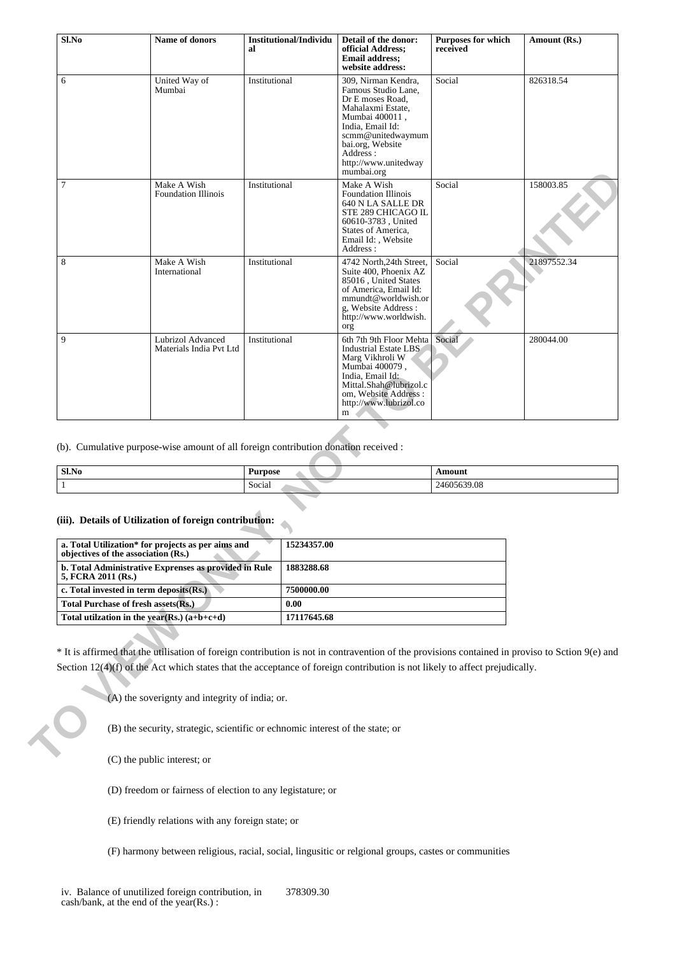| Sl.No                                         | Name of donors                                                                                                                                                                                                                                                                  | Institutional/Individu<br>al | Detail of the donor:<br>official Address;<br><b>Email address;</b><br>website address:                                                                                                                               | <b>Purposes for which</b><br>received | Amount (Rs.) |
|-----------------------------------------------|---------------------------------------------------------------------------------------------------------------------------------------------------------------------------------------------------------------------------------------------------------------------------------|------------------------------|----------------------------------------------------------------------------------------------------------------------------------------------------------------------------------------------------------------------|---------------------------------------|--------------|
| 6                                             | United Way of<br>Mumbai                                                                                                                                                                                                                                                         | Institutional                | 309, Nirman Kendra,<br>Famous Studio Lane,<br>Dr E moses Road.<br>Mahalaxmi Estate,<br>Mumbai 400011,<br>India, Email Id:<br>scmm@unitedwaymum<br>bai.org, Website<br>Address:<br>http://www.unitedway<br>mumbai.org | Social                                | 826318.54    |
| $\overline{7}$                                | Make A Wish<br><b>Foundation Illinois</b>                                                                                                                                                                                                                                       | Institutional                | Make A Wish<br><b>Foundation Illinois</b><br>640 N LA SALLE DR<br>STE 289 CHICAGO IL<br>60610-3783, United<br>States of America,<br>Email Id:, Website<br>Address:                                                   | Social                                | 158003.85    |
| 8                                             | Make A Wish<br>International                                                                                                                                                                                                                                                    | Institutional                | 4742 North, 24th Street,<br>Suite 400, Phoenix AZ<br>85016, United States<br>of America, Email Id:<br>mmundt@worldwish.or<br>g, Website Address:<br>http://www.worldwish.<br>org                                     | Social                                | 21897552.34  |
| 9                                             | Lubrizol Advanced<br>Materials India Pvt Ltd                                                                                                                                                                                                                                    | Institutional                | 6th 7th 9th Floor Mehta<br>Industrial Estate LBS<br>Marg Vikhroli W<br>Mumbai 400079,<br>India, Email Id:<br>Mittal.Shah@lubrizol.c<br>om, Website Address :<br>http://www.lubrizol.co<br>m                          | Social                                | 280044.00    |
|                                               | (b). Cumulative purpose-wise amount of all foreign contribution donation received :                                                                                                                                                                                             |                              |                                                                                                                                                                                                                      |                                       |              |
| $Sl$ .No                                      |                                                                                                                                                                                                                                                                                 | <b>Purpose</b>               |                                                                                                                                                                                                                      | Amount                                |              |
| 1                                             |                                                                                                                                                                                                                                                                                 | Social                       |                                                                                                                                                                                                                      | 24605639.08                           |              |
|                                               | (iii). Details of Utilization of foreign contribution:<br>a. Total Utilization* for projects as per aims and                                                                                                                                                                    | 15234357.00                  |                                                                                                                                                                                                                      |                                       |              |
| 5, FCRA 2011 (Rs.)                            | objectives of the association (Rs.)<br>b. Total Administrative Exprenses as provided in Rule                                                                                                                                                                                    | 1883288.68                   |                                                                                                                                                                                                                      |                                       |              |
|                                               | c. Total invested in term deposits(Rs.)                                                                                                                                                                                                                                         | 7500000.00                   |                                                                                                                                                                                                                      |                                       |              |
|                                               | Total Purchase of fresh assets(Rs.)                                                                                                                                                                                                                                             | 0.00                         |                                                                                                                                                                                                                      |                                       |              |
| Total utilzation in the year(Rs.) $(a+b+c+d)$ |                                                                                                                                                                                                                                                                                 | 17117645.68                  |                                                                                                                                                                                                                      |                                       |              |
|                                               | * It is affirmed that the utilisation of foreign contribution is not in contravention of the provisions contained in proviso to Sction 9(e) and<br>Section $12(4)(f)$ of the Act which states that the acceptance of foreign contribution is not likely to affect prejudically. |                              |                                                                                                                                                                                                                      |                                       |              |
|                                               | (A) the soverignty and integrity of india; or.<br>(B) the security, strategic, scientific or echnomic interest of the state; or                                                                                                                                                 |                              |                                                                                                                                                                                                                      |                                       |              |
|                                               | (C) the public interest; or                                                                                                                                                                                                                                                     |                              |                                                                                                                                                                                                                      |                                       |              |

| Sl.No | <b>Purpose</b> | Amount      |
|-------|----------------|-------------|
|       | Social         | 24605639.08 |

## **(iii). Details of Utilization of foreign contribution:**

| a. Total Utilization* for projects as per aims and<br>objectives of the association (Rs.) | 15234357.00 |
|-------------------------------------------------------------------------------------------|-------------|
| b. Total Administrative Exprenses as provided in Rule<br>5, FCRA 2011 (Rs.)               | 1883288.68  |
| c. Total invested in term deposits $(Rs.)$                                                | 7500000.00  |
| Total Purchase of fresh assets (Rs.)                                                      | 0.00        |
| Total utilization in the year(Rs.) $(a+b+c+d)$                                            | 17117645.68 |

(D) freedom or fairness of election to any legistature; or

(E) friendly relations with any foreign state; or

(F) harmony between religious, racial, social, lingusitic or relgional groups, castes or communities